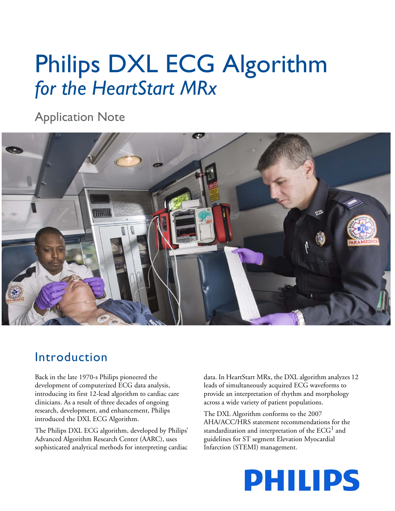# Philips DXL ECG Algorithm *for the HeartStart MRx*

Application Note



# Introduction

Back in the late 1970-s Philips pioneered the development of computerized ECG data analysis, introducing its first 12-lead algorithm to cardiac care clinicians. As a result of three decades of ongoing research, development, and enhancement, Philips introduced the DXL ECG Algorithm.

The Philips DXL ECG algorithm, developed by Philips' Advanced Algorithm Research Center (AARC), uses sophisticated analytical methods for interpreting cardiac data. In HeartStart MRx, the DXL algorithm analyzes 12 leads of simultaneously acquired ECG waveforms to provide an interpretation of rhythm and morphology across a wide variety of patient populations.

The DXL Algorithm conforms to the 2007 AHA/ACC/HRS statement recommendations for the standardization and interpretation of the  $\mathrm{ECG}^1$  and guidelines for ST segment Elevation Myocardial Infarction (STEMI) management.

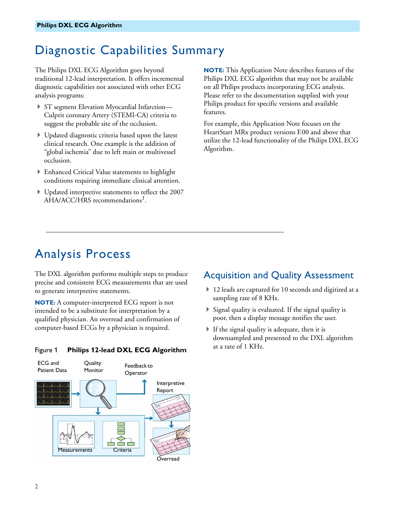# Diagnostic Capabilities Summary

The Philips DXL ECG Algorithm goes beyond traditional 12-lead interpretation. It offers incremental diagnostic capabilities not associated with other ECG analysis programs:

- ▶ ST segment Elevation Myocardial Infarction— Culprit coronary Artery (STEMI-CA) criteria to suggest the probable site of the occlusion.
- Updated diagnostic criteria based upon the latest clinical research. One example is the addition of "global ischemia" due to left main or multivessel occlusion.
- Enhanced Critical Value statements to highlight conditions requiring immediate clinical attention.
- Updated interpretive statements to reflect the 2007  $AHA/ACC/HRS$  recommendations<sup>1</sup>.

**NOTE:** This Application Note describes features of the Philips DXL ECG algorithm that may not be available on all Philips products incorporating ECG analysis. Please refer to the documentation supplied with your Philips product for specific versions and available features.

For example, this Application Note focuses on the HeartStart MRx product versions F.00 and above that utilize the 12-lead functionality of the Philips DXL ECG Algorithm.

# Analysis Process

The DXL algorithm performs multiple steps to produce precise and consistent ECG measurements that are used to generate interpretive statements.

**NOTE:** A computer-interpreted ECG report is not intended to be a substitute for interpretation by a qualified physician. An overread and confirmation of computer-based ECGs by a physician is required.

#### at a rate of 1 KHz. Figure 1 **Philips 12-lead DXL ECG Algorithm**



#### Acquisition and Quality Assessment

- ▶ 12 leads are captured for 10 seconds and digitized at a sampling rate of 8 KHz.
- $\triangleright$  Signal quality is evaluated. If the signal quality is poor, then a display message notifies the user.
- If the signal quality is adequate, then it is downsampled and presented to the DXL algorithm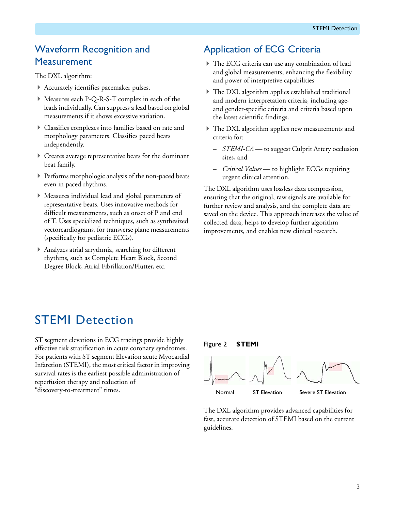### Waveform Recognition and **Measurement**

The DXL algorithm:

- Accurately identifies pacemaker pulses.
- Measures each P-Q-R-S-T complex in each of the leads individually. Can suppress a lead based on global measurements if it shows excessive variation.
- Classifies complexes into families based on rate and morphology parameters. Classifies paced beats independently.
- Creates average representative beats for the dominant beat family.
- Performs morphologic analysis of the non-paced beats even in paced rhythms.
- Measures individual lead and global parameters of representative beats. Uses innovative methods for difficult measurements, such as onset of P and end of T. Uses specialized techniques, such as synthesized vectorcardiograms, for transverse plane measurements (specifically for pediatric ECGs).
- Analyzes atrial arrythmia, searching for different rhythms, such as Complete Heart Block, Second Degree Block, Atrial Fibrillation/Flutter, etc.

## Application of ECG Criteria

- The ECG criteria can use any combination of lead and global measurements, enhancing the flexibility and power of interpretive capabilities
- The DXL algorithm applies established traditional and modern interpretation criteria, including ageand gender-specific criteria and criteria based upon the latest scientific findings.
- The DXL algorithm applies new measurements and criteria for:
	- *STEMI-CA* to suggest Culprit Artery occlusion sites, and
	- *Critical Values* to highlight ECGs requiring urgent clinical attention.

The DXL algorithm uses lossless data compression, ensuring that the original, raw signals are available for further review and analysis, and the complete data are saved on the device. This approach increases the value of collected data, helps to develop further algorithm improvements, and enables new clinical research.

# STEMI Detection

ST segment elevations in ECG tracings provide highly effective risk stratification in acute coronary syndromes. For patients with ST segment Elevation acute Myocardial Infarction (STEMI), the most critical factor in improving survival rates is the earliest possible administration of reperfusion therapy and reduction of "discovery-to-treatment" times.

#### Figure 2 **STEMI**



The DXL algorithm provides advanced capabilities for fast, accurate detection of STEMI based on the current guidelines.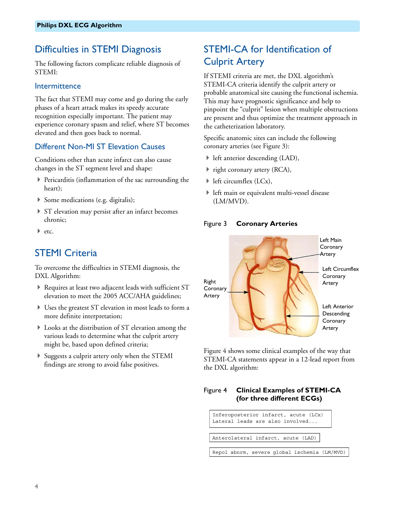#### Difficulties in STEMI Diagnosis

The following factors complicate reliable diagnosis of STEMI:

#### Intermittence

The fact that STEMI may come and go during the early phases of a heart attack makes its speedy accurate recognition especially important. The patient may experience coronary spasm and relief, where ST becomes elevated and then goes back to normal.

#### Different Non-MI ST Elevation Causes

Conditions other than acute infarct can also cause changes in the ST segment level and shape:

- $\triangleright$  Pericarditis (inflammation of the sac surrounding the heart);
- Some medications (e.g. digitalis);
- ▶ ST elevation may persist after an infarct becomes chronic;
- $\blacktriangleright$  etc.

#### STEMI Criteria

To overcome the difficulties in STEMI diagnosis, the DXL Algorithm:

- Requires at least two adjacent leads with sufficient ST elevation to meet the 2005 ACC/AHA guidelines;
- Uses the greatest ST elevation in most leads to form a more definite interpretation;
- Looks at the distribution of ST elevation among the various leads to determine what the culprit artery might be, based upon defined criteria;
- Suggests a culprit artery only when the STEMI findings are strong to avoid false positives.

### STEMI-CA for Identification of Culprit Artery

If STEMI criteria are met, the DXL algorithm's STEMI-CA criteria identify the culprit artery or probable anatomical site causing the functional ischemia. This may have prognostic significance and help to pinpoint the "culprit" lesion when multiple obstructions are present and thus optimize the treatment approach in the catheterization laboratory.

Specific anatomic sites can include the following coronary arteries (see [Figure 3\)](#page-3-0):

- left anterior descending (LAD),
- ▶ right coronary artery (RCA),
- left circumflex (LCx),
- left main or equivalent multi-vessel disease (LM/MVD).

<span id="page-3-0"></span>



[Figure 4](#page-3-1) shows some clinical examples of the way that STEMI-CA statements appear in a 12-lead report from the DXL algorithm:

#### <span id="page-3-1"></span>Figure 4 **Clinical Examples of STEMI-CA (for three different ECGs)**

Inferoposterior infarct, acute (LCx) Lateral leads are also involved... Anterolateral infarct, acute (LAD) Repol abnrm, severe global ischemia (LM/MVD)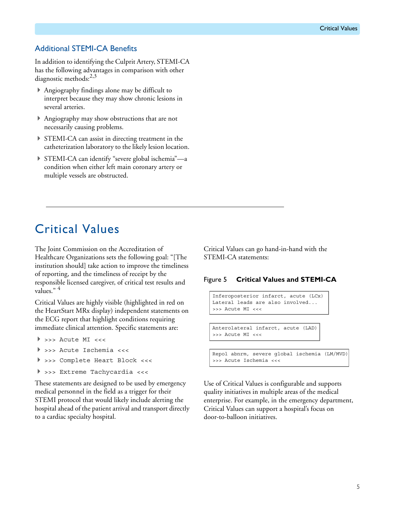#### Additional STEMI-CA Benefits

In addition to identifying the Culprit Artery, STEMI-CA has the following advantages in comparison with other diagnostic methods:<sup>2,3</sup>

- Angiography findings alone may be difficult to interpret because they may show chronic lesions in several arteries.
- Angiography may show obstructions that are not necessarily causing problems.
- STEMI-CA can assist in directing treatment in the catheterization laboratory to the likely lesion location.
- STEMI-CA can identify "severe global ischemia"—a condition when either left main coronary artery or multiple vessels are obstructed.

## Critical Values

The Joint Commission on the Accreditation of Healthcare Organizations sets the following goal: "[The institution should] take action to improve the timeliness of reporting, and the timeliness of receipt by the responsible licensed caregiver, of critical test results and values." <sup>4</sup>

Critical Values are highly visible (highlighted in red on the HeartStart MRx display) independent statements on the ECG report that highlight conditions requiring immediate clinical attention. Specific statements are:

- >>> Acute MI <<<
- >>> Acute Ischemia <<<
- >>> Complete Heart Block <<<
- >>> Extreme Tachycardia <<<

These statements are designed to be used by emergency medical personnel in the field as a trigger for their STEMI protocol that would likely include alerting the hospital ahead of the patient arrival and transport directly to a cardiac specialty hospital.

Critical Values can go hand-in-hand with the STEMI-CA statements:

#### Figure 5 **Critical Values and STEMI-CA**

```
Inferoposterior infarct, acute (LCx)
Lateral leads are also involved...
>>> Acute MI <<<
```
Anterolateral infarct, acute (LAD) >>> Acute MI <<<

Repol abnrm, severe global ischemia (LM/MVD) >>> Acute Ischemia <<<

Use of Critical Values is configurable and supports quality initiatives in multiple areas of the medical enterprise. For example, in the emergency department, Critical Values can support a hospital's focus on door-to-balloon initiatives.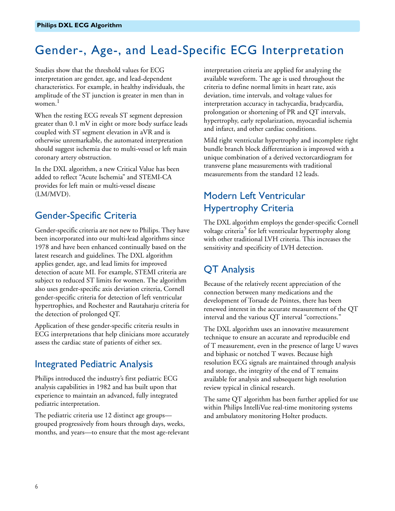# Gender-, Age-, and Lead-Specific ECG Interpretation

Studies show that the threshold values for ECG interpretation are gender, age, and lead-dependent characteristics. For example, in healthy individuals, the amplitude of the ST junction is greater in men than in women.<sup>1</sup>

When the resting ECG reveals ST segment depression greater than 0.1 mV in eight or more body surface leads coupled with ST segment elevation in aVR and is otherwise unremarkable, the automated interpretation should suggest ischemia due to multi-vessel or left main coronary artery obstruction.

In the DXL algorithm, a new Critical Value has been added to reflect "Acute Ischemia" and STEMI-CA provides for left main or multi-vessel disease (LM/MVD).

#### Gender-Specific Criteria

Gender-specific criteria are not new to Philips. They have been incorporated into our multi-lead algorithms since 1978 and have been enhanced continually based on the latest research and guidelines. The DXL algorithm applies gender, age, and lead limits for improved detection of acute MI. For example, STEMI criteria are subject to reduced ST limits for women. The algorithm also uses gender-specific axis deviation criteria, Cornell gender-specific criteria for detection of left ventricular hypertrophies, and Rochester and Rautaharju criteria for the detection of prolonged QT.

Application of these gender-specific criteria results in ECG interpretations that help clinicians more accurately assess the cardiac state of patients of either sex.

### Integrated Pediatric Analysis

Philips introduced the industry's first pediatric ECG analysis capabilities in 1982 and has built upon that experience to maintain an advanced, fully integrated pediatric interpretation.

The pediatric criteria use 12 distinct age groups grouped progressively from hours through days, weeks, months, and years—to ensure that the most age-relevant interpretation criteria are applied for analyzing the available waveform. The age is used throughout the criteria to define normal limits in heart rate, axis deviation, time intervals, and voltage values for interpretation accuracy in tachycardia, bradycardia, prolongation or shortening of PR and QT intervals, hypertrophy, early repolarization, myocardial ischemia and infarct, and other cardiac conditions.

Mild right ventricular hypertrophy and incomplete right bundle branch block differentiation is improved with a unique combination of a derived vectorcardiogram for transverse plane measurements with traditional measurements from the standard 12 leads.

### Modern Left Ventricular Hypertrophy Criteria

The DXL algorithm employs the gender-specific Cornell voltage criteria<sup>5</sup> for left ventricular hypertrophy along with other traditional LVH criteria. This increases the sensitivity and specificity of LVH detection.

## QT Analysis

Because of the relatively recent appreciation of the connection between many medications and the development of Torsade de Pointes, there has been renewed interest in the accurate measurement of the QT interval and the various QT interval "corrections."

The DXL algorithm uses an innovative measurement technique to ensure an accurate and reproducible end of T measurement, even in the presence of large U waves and biphasic or notched T waves. Because high resolution ECG signals are maintained through analysis and storage, the integrity of the end of T remains available for analysis and subsequent high resolution review typical in clinical research.

The same QT algorithm has been further applied for use within Philips IntelliVue real-time monitoring systems and ambulatory monitoring Holter products.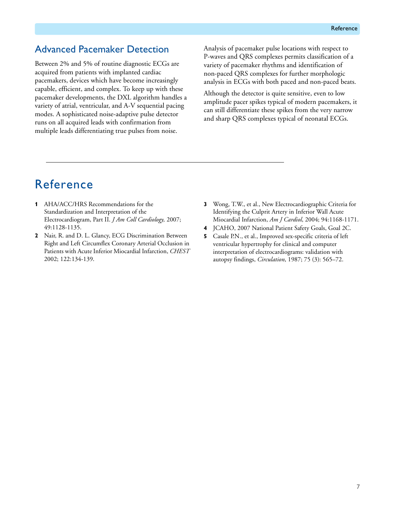#### Advanced Pacemaker Detection

Between 2% and 5% of routine diagnostic ECGs are acquired from patients with implanted cardiac pacemakers, devices which have become increasingly capable, efficient, and complex. To keep up with these pacemaker developments, the DXL algorithm handles a variety of atrial, ventricular, and A-V sequential pacing modes. A sophisticated noise-adaptive pulse detector runs on all acquired leads with confirmation from multiple leads differentiating true pulses from noise.

Analysis of pacemaker pulse locations with respect to P-waves and QRS complexes permits classification of a variety of pacemaker rhythms and identification of non-paced QRS complexes for further morphologic analysis in ECGs with both paced and non-paced beats.

Although the detector is quite sensitive, even to low amplitude pacer spikes typical of modern pacemakers, it can still differentiate these spikes from the very narrow and sharp QRS complexes typical of neonatal ECGs.

# Reference

- **1** AHA/ACC/HRS Recommendations for the Standardization and Interpretation of the Electrocardiogram, Part II. *J Am Coll Cardiology,* 2007; 49:1128-1135.
- **2** Nair, R. and D. L. Glancy, ECG Discrimination Between Right and Left Circumflex Coronary Arterial Occlusion in Patients with Acute Inferior Miocardial Infarction, *CHEST* 2002; 122:134-139.
- **3** Wong, T.W., et al., New Electrocardiographic Criteria for Identifying the Culprit Artery in Inferior Wall Acute Miocardial Infarction, *Am J Cardiol*, 2004; 94:1168-1171.
- **4** JCAHO, 2007 National Patient Safety Goals, Goal 2C.
- **5** Casale P.N., et al., Improved sex-specific criteria of left ventricular hypertrophy for clinical and computer interpretation of electrocardiograms: validation with autopsy findings, *Circulation*, 1987; 75 (3): 565–72.